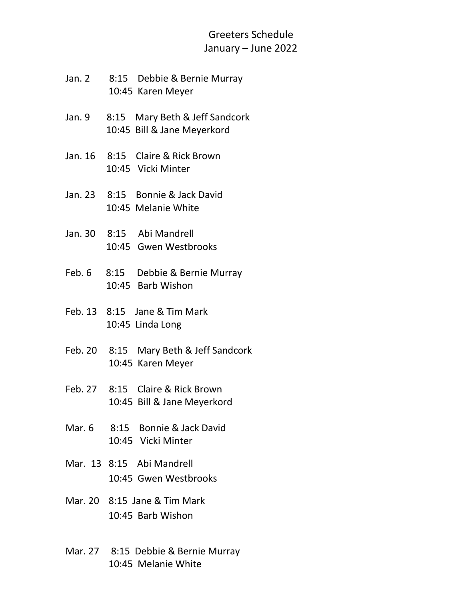## Greeters Schedule January – June 2022

- Jan. 2 8:15 Debbie & Bernie Murray 10:45 Karen Meyer
- Jan. 9 8:15 Mary Beth & Jeff Sandcork 10:45 Bill & Jane Meyerkord
- Jan. 16 8:15 Claire & Rick Brown 10:45 Vicki Minter
- Jan. 23 8:15 Bonnie & Jack David 10:45 Melanie White
- Jan. 30 8:15 Abi Mandrell 10:45 Gwen Westbrooks
- Feb. 6 8:15 Debbie & Bernie Murray 10:45 Barb Wishon
- Feb. 13 8:15 Jane & Tim Mark 10:45 Linda Long
- Feb. 20 8:15 Mary Beth & Jeff Sandcork 10:45 Karen Meyer
- Feb. 27 8:15 Claire & Rick Brown 10:45 Bill & Jane Meyerkord
- Mar. 6 8:15 Bonnie & Jack David 10:45 Vicki Minter
- Mar. 13 8:15 Abi Mandrell 10:45 Gwen Westbrooks
- Mar. 20 8:15 Jane & Tim Mark 10:45 Barb Wishon
- Mar. 27 8:15 Debbie & Bernie Murray 10:45 Melanie White